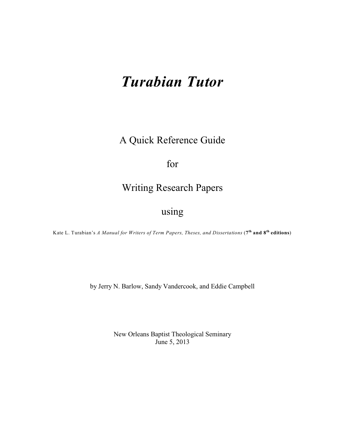# *Turabian Tutor*

A Quick Reference Guide

# for

## Writing Research Papers

# using

Kate L. Turabian's *A Manual for Writers of Term Papers, Theses, and Dissertations* (**7 and 8 editions**) **th th**

by Jerry N. Barlow, Sandy Vandercook, and Eddie Campbell

New Orleans Baptist Theological Seminary June 5, 2013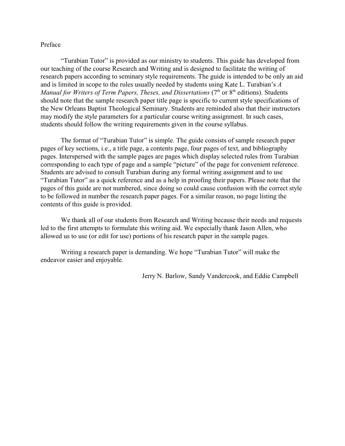#### Preface

"Turabian Tutor" is provided as our ministry to students. This guide has developed from our teaching of the course Research and Writing and is designed to facilitate the writing of research papers according to seminary style requirements. The guide is intended to be only an aid and is limited in scope to the rules usually needed by students using Kate L. Turabian's *A Manual for Writers of Term Papers, Theses, and Dissertations* (7<sup>th</sup> or 8<sup>th</sup> editions). Students should note that the sample research paper title page is specific to current style specifications of the New Orleans Baptist Theological Seminary. Students are reminded also that their instructors may modify the style parameters for a particular course writing assignment. In such cases, students should follow the writing requirements given in the course syllabus.

The format of "Turabian Tutor" is simple. The guide consists of sample research paper pages of key sections, i.e., a title page, a contents page, four pages of text, and bibliography pages. Interspersed with the sample pages are pages which display selected rules from Turabian corresponding to each type of page and a sample "picture" of the page for convenient reference. Students are advised to consult Turabian during any formal writing assignment and to use "Turabian Tutor" as a quick reference and as a help in proofing their papers. Please note that the pages of this guide are not numbered, since doing so could cause confusion with the correct style to be followed in number the research paper pages. For a similar reason, no page listing the contents of this guide is provided.

We thank all of our students from Research and Writing because their needs and requests led to the first attempts to formulate this writing aid. We especially thank Jason Allen, who allowed us to use (or edit for use) portions of his research paper in the sample pages.

Writing a research paper is demanding. We hope "Turabian Tutor" will make the endeavor easier and enjoyable.

Jerry N. Barlow, Sandy Vandercook, and Eddie Campbell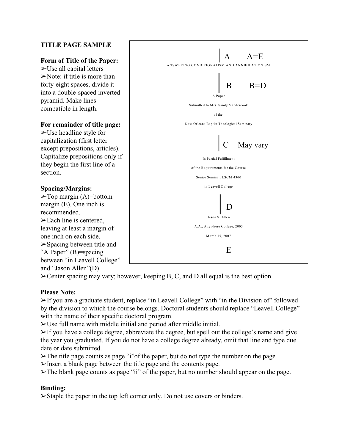## **TITLE PAGE SAMPLE**

## **Form of Title of the Paper:**

 $\blacktriangleright$ Use all capital letters  $\triangleright$  Note: if title is more than forty-eight spaces, divide it into a double-spaced inverted pyramid. Make lines compatible in length.

#### **For remainder of title page:**

 $\blacktriangleright$  Use headline style for capitalization (first letter except prepositions, articles). Capitalize prepositions only if they begin the first line of a section.

### **Spacing/Margins:**

 $\blacktriangleright$ Top margin (A)=bottom margin (E). One inch is recommended.  $\blacktriangleright$  Each line is centered, leaving at least a margin of one inch on each side.  $\triangleright$  Spacing between title and "A Paper" (B)=spacing between "in Leavell College" and "Jason Allen"(D)



 $\blacktriangleright$  Center spacing may vary; however, keeping B, C, and D all equal is the best option.

## **Please Note:**

%If you are a graduate student, replace "in Leavell College" with "in the Division of" followed by the division to which the course belongs. Doctoral students should replace "Leavell College" with the name of their specific doctoral program.

 $>$ Use full name with middle initial and period after middle initial.

 $\triangleright$  If you have a college degree, abbreviate the degree, but spell out the college's name and give the year you graduated. If you do not have a college degree already, omit that line and type due date or date submitted.

 $\blacktriangleright$  The title page counts as page "i" of the paper, but do not type the number on the page.

%Insert a blank page between the title page and the contents page.

 $\blacktriangleright$ The blank page counts as page "ii" of the paper, but no number should appear on the page.

## **Binding:**

 $\triangleright$ Staple the paper in the top left corner only. Do not use covers or binders.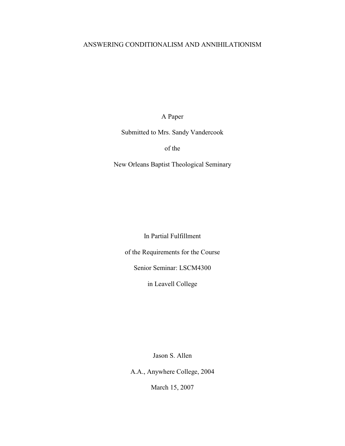## ANSWERING CONDITIONALISM AND ANNIHILATIONISM

A Paper

Submitted to Mrs. Sandy Vandercook

of the

New Orleans Baptist Theological Seminary

In Partial Fulfillment

of the Requirements for the Course

Senior Seminar: LSCM4300

in Leavell College

Jason S. Allen

A.A., Anywhere College, 2004

March 15, 2007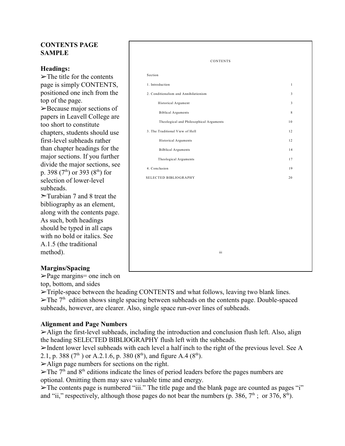## **CONTENTS PAGE SAMPLE**

## **Headings:**

 $\triangleright$  The title for the contents page is simply CONTENTS, positioned one inch from the top of the page.  $\blacktriangleright$  Because major sections of papers in Leavell College are too short to constitute chapters, students should use first-level subheads rather than chapter headings for the major sections. If you further divide the major sections, see p. 398 (7<sup>th</sup>) or 393 (8<sup>th</sup>) for selection of lower-level subheads.

 $\triangleright$ Turabian 7 and 8 treat the bibliography as an element, along with the contents page. As such, both headings should be typed in all caps with no bold or italics. See A.1.5 (the traditional method).

## **Margins/Spacing**

 $\geq$ Page margins= one inch on top, bottom, and sides

| <b>CONTENTS</b>                         |                         |
|-----------------------------------------|-------------------------|
| Section                                 |                         |
| 1. Introduction                         | $\mathbf{1}$            |
| 2. Conditionalism and Annihilationism   | $\overline{\mathbf{3}}$ |
| Historical Argument                     | $\overline{\mathbf{3}}$ |
| <b>Biblical Arguments</b>               | $\,8\,$                 |
| Theological and Philosophical Arguments | 10                      |
| 3. The Traditional View of Hell         | 12                      |
| Historical Arguments                    | 12                      |
| <b>Bilblical Arguments</b>              | 14                      |
| Theological Arguments                   | 17                      |
| 4. Conclusion                           | 19                      |
| SELECTED BIBLIOGRAPHY                   | 20                      |
|                                         |                         |
|                                         |                         |
|                                         |                         |
|                                         |                         |
|                                         |                         |
|                                         |                         |
|                                         |                         |

 $\blacktriangleright$ Triple-space between the heading CONTENTS and what follows, leaving two blank lines.  $\blacktriangleright$  The 7<sup>th</sup> edition shows single spacing between subheads on the contents page. Double-spaced subheads, however, are clearer. Also, single space run-over lines of subheads.

## **Alignment and Page Numbers**

 $\geq$ Align the first-level subheads, including the introduction and conclusion flush left. Also, align the heading SELECTED BIBLIOGRAPHY flush left with the subheads.

 $\triangleright$ Indent lower level subheads with each level a half inch to the right of the previous level. See A 2.1, p. 388 ( $7<sup>th</sup>$ ) or A.2.1.6, p. 380 ( $8<sup>th</sup>$ ), and figure A.4 ( $8<sup>th</sup>$ ).

 $\blacktriangleright$ Align page numbers for sections on the right.

 $\triangleright$  The 7<sup>th</sup> and 8<sup>th</sup> editions indicate the lines of period leaders before the pages numbers are optional. Omitting them may save valuable time and energy.

 $\triangleright$  The contents page is numbered "iii." The title page and the blank page are counted as pages "i" and "ii," respectively, although those pages do not bear the numbers (p. 386,  $7<sup>th</sup>$ ; or 376,  $8<sup>th</sup>$ ).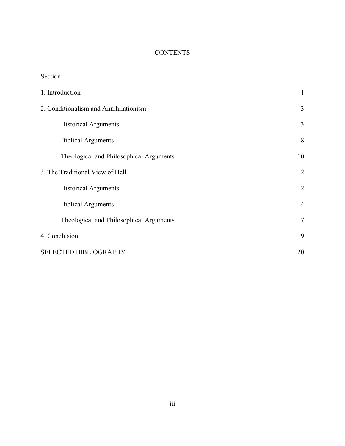## **CONTENTS**

| Section                                 |              |
|-----------------------------------------|--------------|
| 1. Introduction                         | $\mathbf{1}$ |
| 2. Conditionalism and Annihilationism   | 3            |
| <b>Historical Arguments</b>             | 3            |
| <b>Biblical Arguments</b>               | 8            |
| Theological and Philosophical Arguments | 10           |
| 3. The Traditional View of Hell         | 12           |
| <b>Historical Arguments</b>             | 12           |
| <b>Biblical Arguments</b>               | 14           |
| Theological and Philosophical Arguments | 17           |
| 4. Conclusion                           | 19           |
| <b>SELECTED BIBLIOGRAPHY</b>            | 20           |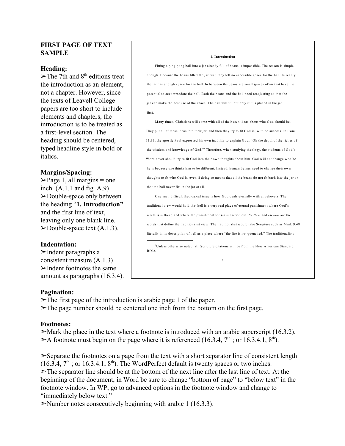## **FIRST PAGE OF TEXT SAMPLE**

#### **Heading:**

 $\blacktriangleright$ The 7th and 8<sup>th</sup> editions treat the introduction as an element, not a chapter. However, since the texts of Leavell College papers are too short to include elements and chapters, the introduction is to be treated as a first-level section. The heading should be centered, typed headline style in bold or italics.

### **Margins/Spacing:**

 $\blacktriangleright$  Page 1, all margins = one inch  $(A.1.1$  and fig.  $A.9$ )  $\blacktriangleright$ Double-space only between the heading "**1. Introduction"** and the first line of text, leaving only one blank line.  $\blacktriangleright$ Double-space text (A.1.3).

## **Indentation:**

 $\geq$ Indent paragraphs a consistent measure (A.1.3).  $\blacktriangleright$ Indent footnotes the same amount as paragraphs (16.3.4).

#### **1. Introduction**

Fitting a ping-pong ball into a jar already full of beans is impossible. The reason is simple enough. Because the beans filled the jar first, they left no accessible space for the ball. In reality, the jar has enough space for the ball. In between the beans are small spaces of air that have the potential to accommodate the ball. Both the beans and the ball need readjusting so that the jar can make the best use of the space. The ball will fit, but only if it is placed in the jar first.

M any times, Christians will come with all of their own ideas about who God should be. They put all of these ideas into their jar, and then they try to fit God in, with no success. In Rom. 11:33, the apostle Paul expressed his own inability to explain God: "Oh the depth of the riches of the wisdom and knowledge of God."<sup>1</sup> Therefore, when studying theology, the students of God's Word never should try to fit God into their own thoughts about him. God will not change who he he is because one thinks him to be different. Instead, human beings need to change their own thoughts to fit who God is, even if doing so means that all the beans do not fit back into the jar or that the ball never fits in the jar at all.

One such difficult theological issue is how God deals eternally with unbelievers. The traditional view would hold that hell is a very real place of eternal punishment where God's wrath is sufficed and where the punishment for sin is carried out. *Endless* and *eternal* are the words that define the traditionalist view. The traditionalist would take Scripture such as M ark 9:48 literally in its description of hell as a place where "the fire is not quenched." The traditionalists

<sup>1</sup>Unless otherwise noted, all Scripture citations will be from the New American Standard Bible.

1

## **Pagination:**

 $\triangleright$  The first page of the introduction is arabic page 1 of the paper.

 $\geq$ The page number should be centered one inch from the bottom on the first page.

## **Footnotes:**

 $\geq$ Mark the place in the text where a footnote is introduced with an arabic superscript (16.3.2).  $\geq$ A footnote must begin on the page where it is referenced (16.3.4, 7<sup>th</sup>; or 16.3.4.1, 8<sup>th</sup>).

 $\geq$ Separate the footnotes on a page from the text with a short separator line of consistent length  $(16.3.4, 7<sup>th</sup>)$ ; or 16.3.4.1,  $8<sup>th</sup>$ ). The WordPerfect default is twenty spaces or two inches.  $\triangleright$ The separator line should be at the bottom of the next line after the last line of text. At the beginning of the document, in Word be sure to change "bottom of page" to "below text" in the footnote window. In WP, go to advanced options in the footnote window and change to "immediately below text."

 $\blacktriangleright$ Number notes consecutively beginning with arabic 1 (16.3.3).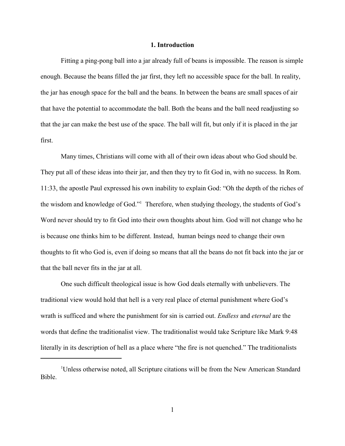#### **1. Introduction**

Fitting a ping-pong ball into a jar already full of beans is impossible. The reason is simple enough. Because the beans filled the jar first, they left no accessible space for the ball. In reality, the jar has enough space for the ball and the beans. In between the beans are small spaces of air that have the potential to accommodate the ball. Both the beans and the ball need readjusting so that the jar can make the best use of the space. The ball will fit, but only if it is placed in the jar first.

Many times, Christians will come with all of their own ideas about who God should be. They put all of these ideas into their jar, and then they try to fit God in, with no success. In Rom. 11:33, the apostle Paul expressed his own inability to explain God: "Oh the depth of the riches of the wisdom and knowledge of God."<sup>1</sup> Therefore, when studying theology, the students of God's Word never should try to fit God into their own thoughts about him. God will not change who he is because one thinks him to be different. Instead, human beings need to change their own thoughts to fit who God is, even if doing so means that all the beans do not fit back into the jar or that the ball never fits in the jar at all.

One such difficult theological issue is how God deals eternally with unbelievers. The traditional view would hold that hell is a very real place of eternal punishment where God's wrath is sufficed and where the punishment for sin is carried out. *Endless* and *eternal* are the words that define the traditionalist view. The traditionalist would take Scripture like Mark 9:48 literally in its description of hell as a place where "the fire is not quenched." The traditionalists

<sup>&</sup>lt;sup>1</sup>Unless otherwise noted, all Scripture citations will be from the New American Standard Bible.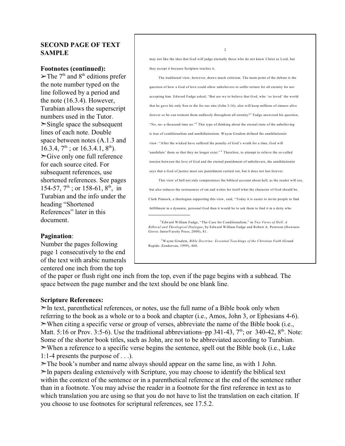## **SECOND PAGE OF TEXT SAMPLE**

#### **Footnotes (continued):**

 $\blacktriangleright$  The 7<sup>th</sup> and 8<sup>th</sup> editions prefer the note number typed on the line followed by a period and the note (16.3.4). However, Turabian allows the superscript numbers used in the Tutor.  $\ge$ Single space the subsequent lines of each note. Double space between notes (A.1.3 and 16.3.4,  $7^{\text{th}}$ ; or 16.3.4.1,  $8^{\text{th}}$ ).  $\geq$ Give only one full reference for each source cited. For subsequent references, use shortened references. See pages 154-57,  $7^{\text{th}}$ ; or 158-61,  $8^{\text{th}}$ , in Turabian and the info under the heading "Shortened References" later in this document.

#### **Pagination**:

Number the pages following page 1 consecutively to the end of the text with arabic numerals centered one inch from the top

may not like the idea that God will judge eternally those who do not know Christ as Lord, but they accept it because Scripture teaches it.

2

The traditional view, however, draws much criticism. The main point of the debate is the question of how a God of love could allow unbelievers to suffer torture for all eternity for not accepting him. Edward Fudge asked, "But are we to believe that God, who 'so loved' the world that he gave his only Son to die for our sins (John 3:16), also will keep millions of sinners alive forever so he can torment them endlessly throughout all eternity?" Fudge answered his question, "No, no–a thousand time no."<sup>2</sup> This type of thinking about the eternal state of the unbelieving is true of conditionalism and annihiliationism. Wayen Grudem defined the annihilationist view: "After the wicked have suffered the penalty of God's wrath for a time, God will 'annihilate' them so that they no longer exist."<sup>T</sup> Therefore, to attempt to relieve the so-called tension between the love of God and the eternal punishment of unbelievers, the annihilationist says that a God of justice must see punishment carried out, but it does not last forever.

This view of hell not only compromises the biblical account about hell, as the reader will see, but also reduces the seriousness of sin and writes for itself what the character of God should be. Clark Pinnock, a theologian supporting this view, said, "Today it is easier to invite people to find fulfillment in a dynamic, personal God than it would be to ask them to find it in a deity who

Edward William Fudge, "The Case for Conditionalism," in *Two Views of Hell: A* 2 *Bilbical and Theological Dialogue*, by Edward William Fudge and Robert A. Peterson (Downers Grove: IntrerVarsity Press, 2000), 81.

Wayne Grudem, *Bible Doctrine: Essential Teachings of the Christian Faith* (Grand 3 Rapids: Zondervan, 1999), 460.

of the paper or flush right one inch from the top, even if the page begins with a subhead. The space between the page number and the text should be one blank line.

#### **Scripture References:**

 $\geq$ In text, parenthetical references, or notes, use the full name of a Bible book only when referring to the book as a whole or to a book and chapter (i.e., Amos, John 3, or Ephesians 4-6).  $\triangleright$ When citing a specific verse or group of verses, abbreviate the name of the Bible book (i.e., Matt. 5:16 or Prov. 3:5-6). Use the traditional abbreviations–pp 341-43,  $7<sup>th</sup>$ ; or 340-42,  $8<sup>th</sup>$ . Note: Some of the shorter book titles, such as John, are not to be abbreviated according to Turabian.  $\triangleright$ When a reference to a specific verse begins the sentence, spell out the Bible book (i.e., Luke 1:1-4 presents the purpose of . . .).

 $\geq$ The book's number and name always should appear on the same line, as with 1 John.  $\geq$ In papers dealing extensively with Scripture, you may choose to identify the biblical text within the context of the sentence or in a parenthetical reference at the end of the sentence rather than in a footnote. You may advise the reader in a footnote for the first reference in text as to which translation you are using so that you do not have to list the translation on each citation. If you choose to use footnotes for scriptural references, see 17.5.2.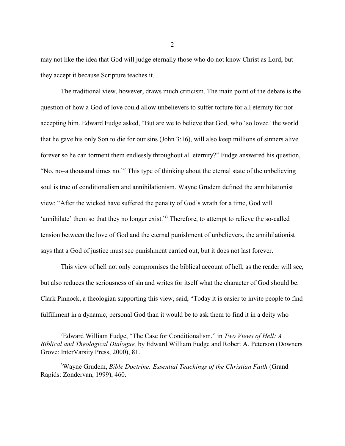may not like the idea that God will judge eternally those who do not know Christ as Lord, but they accept it because Scripture teaches it.

The traditional view, however, draws much criticism. The main point of the debate is the question of how a God of love could allow unbelievers to suffer torture for all eternity for not accepting him. Edward Fudge asked, "But are we to believe that God, who 'so loved' the world that he gave his only Son to die for our sins (John 3:16), will also keep millions of sinners alive forever so he can torment them endlessly throughout all eternity?" Fudge answered his question, "No, no–a thousand times no."<sup>2</sup> This type of thinking about the eternal state of the unbelieving soul is true of conditionalism and annihilationism. Wayne Grudem defined the annihilationist view: "After the wicked have suffered the penalty of God's wrath for a time, God will 'annihilate' them so that they no longer exist."<sup>3</sup> Therefore, to attempt to relieve the so-called tension between the love of God and the eternal punishment of unbelievers, the annihilationist says that a God of justice must see punishment carried out, but it does not last forever.

This view of hell not only compromises the biblical account of hell, as the reader will see, but also reduces the seriousness of sin and writes for itself what the character of God should be. Clark Pinnock, a theologian supporting this view, said, "Today it is easier to invite people to find fulfillment in a dynamic, personal God than it would be to ask them to find it in a deity who

2

Edward William Fudge, "The Case for Conditionalism," in *Two Views of Hell: A* <sup>2</sup> *Biblical and Theological Dialogue,* by Edward William Fudge and Robert A. Peterson (Downers Grove: InterVarsity Press, 2000), 81.

<sup>&</sup>lt;sup>3</sup>Wayne Grudem, *Bible Doctrine: Essential Teachings of the Christian Faith* (Grand Rapids: Zondervan, 1999), 460.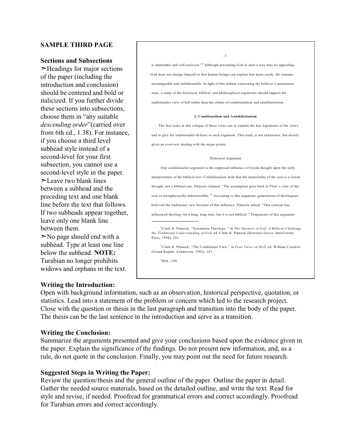### **SAMPLE THIRD PAGE**

#### **Sections and Subsections**

 $\blacktriangleright$  Headings for major sections of the paper (including the introduction and conclusion) should be centered and bold or italicized. If you further divide these sections into subsections, choose them in "any suitable *descending order*"(carried over from 6th ed., 1.38). For instance, if you choose a third level subhead style instead of a second-level for your first subsection, you cannot use a second-level style in the paper.  $\geq$ Leave two blank lines between a subhead and the preceding text and one blank line before the text that follows. If two subheads appear together, leave only one blank line between them.  $\geq$ No page should end with a subhead. Type at least one line below the subhead. **NOTE:** Turabian no longer prohibits

is immutable and self-enclosed."<sup>4</sup> Although presenting God in such a way may be appealing, God does not change himself so that human beings can explain him more easily. He remains unchangeable and unfathomable. In light of this debate concerning the believer's permanent state, a study of the historical, biblical, and philosophical arguments should support the traditionalist view of hell rather then the claims of conditionalism and annihilationism.

3

#### **2. Condtionalism and Annihilationism**

The first tasks in this critique of these views are to explain the key arguments of the views and to give the traditionalist defense to each argument. This study is not exhaustive, but merely gives an overview dealing with the major points.

#### Historical Argument

One conditionalist argument is the supposed influence of Greek thought upon the early interpretation of the biblical text. Conditionalists hold that the immortality of the soul is a Greek thought, not a biblical one. Pinnock claimed, "The assumption goes back to Plato's view of the soul as metaphysically indestructible."<sup>5</sup> According to this argument, generations of theologians believed the traditional view because of this influence. Pinnock added, "This concept has influenced theology for a long, long time, but it is not biblical."<sup>6</sup> Proponents of this argument

Clark H. Pinnock, "Systematic Theology, " in *The Openess of God: A Biblical Challenge* 4 *the Traditional Understanding of God*, ed. Clark H. Pinnock (Downers Grove: InterVarsity Press, 1994), 101.

Clark H. Pinnock, "The Conditional View," in *Four Views on Hell*, ed. William Crockett 5 (Grand Rapids: Zondervan, 1992), 147.

 $6$ Ibid., 148.

#### **Writing the Introduction:**

widows and orphans in the text.

Open with background information, such as an observation, historical perspective, quotation, or statistics. Lead into a statement of the problem or concern which led to the research project. Close with the question or thesis in the last paragraph and transition into the body of the paper. The thesis can be the last sentence in the introduction and serve as a transition.

#### **Writing the Conclusion:**

Summarize the arguments presented and give your conclusions based upon the evidence given in the paper. Explain the significance of the findings. Do not present new information, and, as a rule, do not quote in the conclusion. Finally, you may point out the need for future research.

#### **Suggested Steps in Writing the Paper:**

Review the question/thesis and the general outline of the paper. Outline the paper in detail. Gather the needed source materials, based on the detailed outline, and write the text. Read for style and revise, if needed. Proofread for grammatical errors and correct accordingly. Proofread for Turabian errors and correct accordingly.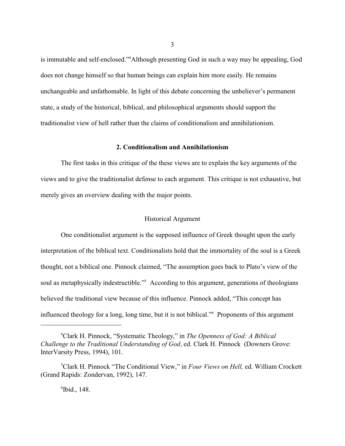is immutable and self-enclosed."<sup>4</sup>Although presenting God in such a way may be appealing, God does not change himself so that human beings can explain him more easily. He remains unchangeable and unfathomable. In light of this debate concerning the unbeliever's permanent state, a study of the historical, biblical, and philosophical arguments should support the traditionalist view of hell rather than the claims of conditionalism and annihilationism.

#### **2. Conditionalism and Annihilationism**

The first tasks in this critique of the these views are to explain the key arguments of the views and to give the traditionalist defense to each argument. This critique is not exhaustive, but merely gives an overview dealing with the major points.

#### Historical Argument

One conditionalist argument is the supposed influence of Greek thought upon the early interpretation of the biblical text. Conditionalists hold that the immortality of the soul is a Greek thought, not a biblical one. Pinnock claimed, "The assumption goes back to Plato's view of the soul as metaphysically indestructible."<sup>5</sup> According to this argument, generations of theologians believed the traditional view because of this influence. Pinnock added, "This concept has influenced theology for a long, long time, but it is not biblical." Proponents of this argument

3

Clark H. Pinnock, "Systematic Theology," in *The Openness of God: A Biblical* <sup>4</sup> *Challenge to the Traditional Understanding of God*, ed. Clark H. Pinnock (Downers Grove: InterVarsity Press, 1994), 101.

<sup>&</sup>lt;sup>5</sup>Clark H. Pinnock "The Conditional View," in *Four Views on Hell*, ed. William Crockett (Grand Rapids: Zondervan, 1992), 147.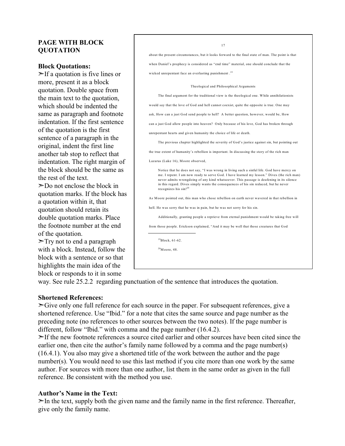## **PAGE WITH BLOCK QUOTATION**

#### **Block Quotations:**

 $\geq$ If a quotation is five lines or more, present it as a block quotation. Double space from the main text to the quotation, which should be indented the same as paragraph and footnote indentation. If the first sentence of the quotation is the first sentence of a paragraph in the original, indent the first line another tab stop to reflect that indentation. The right margin of the block should be the same as the rest of the text.

 $\geq$ Do not enclose the block in quotation marks. If the block has a quotation within it, that quotation should retain its double quotation marks. Place the footnote number at the end of the quotation.

 $\triangleright$ Try not to end a paragraph with a block. Instead, follow the block with a sentence or so that highlights the main idea of the block or responds to it in some

17 about the present circumstances, but it looks forward to the final state of man. The point is that when Daniel's prophecy is considered as "end time" material, one should conclude that the wicked unrepentant face an everlasting punishment . 19 Theological and Philosophical Arguments The final argument for the traditional view is the theological one. While annihilationists would say that the love of God and hell cannot coexist, quite the opposite is true. One may ask, How can a just God send people to hell? A better question, however, would be, How can a just God allow people into heaven? Only because of his love, God has broken through unrepentant hearts and given humanity the choice of life or death. The previous chapter highlighted the severity of God's justice against sin, but pointing out the true extent of humanity's rebellion is important. In discussing the story of the rich man Lazarus (Luke 16), M oore observed, Notice that he does not say, "I was wrong in living such a sinful life. God have mercy on me. I repent. I am now ready to serve God. I have learned my lesson." Dives (the rich man) never admits wrongdoing of any kind whatsoever. This passage is deafening in its silence in this regard. Dives simply wants the consequences of his sin reduced, but he never recognizes his sin! 20 As M oore pointed out, this man who chose rebellion on earth never wavered in that rebellion in hell. He was sorry that he was in pain, but he was not sorry for his sin. Additionally, granting people a reprieve from eternal punishment would be taking free will from those people. Erickson explained, "And it may be well that those creatures that God <sup>19</sup>Block, 61-62.  $^{20}$ Moore, 48.

way. See rule 25.2.2 regarding punctuation of the sentence that introduces the quotation.

## **Shortened References:**

 $\geq$ Give only one full reference for each source in the paper. For subsequent references, give a shortened reference. Use "Ibid." for a note that cites the same source and page number as the preceding note (no references to other sources between the two notes). If the page number is different, follow "Ibid." with comma and the page number (16.4.2).

 $\geq$ If the new footnote references a source cited earlier and other sources have been cited since the earlier one, then cite the author's family name followed by a comma and the page number(s) (16.4.1). You also may give a shortened title of the work between the author and the page number(s). You would need to use this last method if you cite more than one work by the same author. For sources with more than one author, list them in the same order as given in the full reference. Be consistent with the method you use.

## **Author's Name in the Text:**

 $\geq$ In the text, supply both the given name and the family name in the first reference. Thereafter, give only the family name.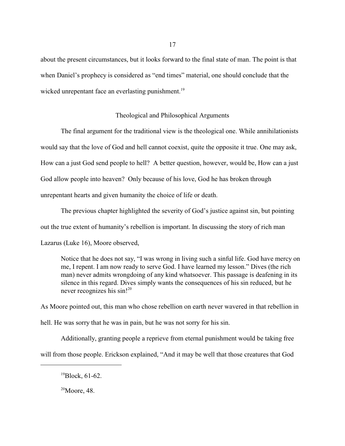about the present circumstances, but it looks forward to the final state of man. The point is that when Daniel's prophecy is considered as "end times" material, one should conclude that the wicked unrepentant face an everlasting punishment.<sup>19</sup>

#### Theological and Philosophical Arguments

The final argument for the traditional view is the theological one. While annihilationists would say that the love of God and hell cannot coexist, quite the opposite it true. One may ask, How can a just God send people to hell? A better question, however, would be, How can a just God allow people into heaven? Only because of his love, God he has broken through unrepentant hearts and given humanity the choice of life or death.

The previous chapter highlighted the severity of God's justice against sin, but pointing out the true extent of humanity's rebellion is important. In discussing the story of rich man Lazarus (Luke 16), Moore observed,

Notice that he does not say, "I was wrong in living such a sinful life. God have mercy on me, I repent. I am now ready to serve God. I have learned my lesson." Dives (the rich man) never admits wrongdoing of any kind whatsoever. This passage is deafening in its silence in this regard. Dives simply wants the consequences of his sin reduced, but he never recognizes his sin!<sup>20</sup>

As Moore pointed out, this man who chose rebellion on earth never wavered in that rebellion in hell. He was sorry that he was in pain, but he was not sorry for his sin.

Additionally, granting people a reprieve from eternal punishment would be taking free will from those people. Erickson explained, "And it may be well that those creatures that God

 $^{19}$ Block, 61-62.

 $20$ Moore, 48.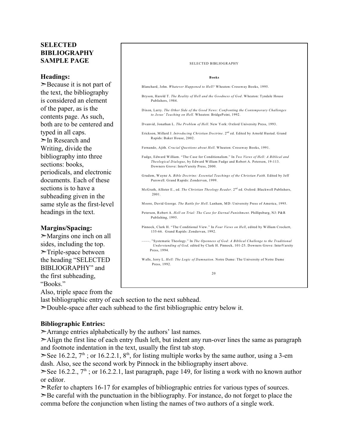## **SELECTED BIBLIOGRAPHY SAMPLE PAGE**

#### **Headings:**

 $\geq$ Because it is not part of the text, the bibliography is considered an element of the paper, as is the contents page. As such, both are to be centered and typed in all caps.  $\triangleright$ In Research and Writing, divide the bibliography into three sections: books, periodicals, and electronic documents. Each of these sections is to have a subheading given in the same style as the first-level headings in the text.

## **Margins/Spacing:**

 $\geq$ Margins one inch on all sides, including the top.  $\triangleright$ Triple-space between the heading "SELECTED BIBLIOGRAPHY" and the first subheading, "Books."

Also, triple space from the

last bibliographic entry of each section to the next subhead.

 $\geq$ Double-space after each subhead to the first bibliographic entry below it.

## **Bibliographic Entries:**

 $\triangleright$ Arrange entries alphabetically by the authors' last names.

 $\geq$ Align the first line of each entry flush left, but indent any run-over lines the same as paragraph and footnote indentation in the text, usually the first tab stop.

 $\geq$ See 16.2.2, 7<sup>th</sup>; or 16.2.2.1, 8<sup>th</sup>, for listing multiple works by the same author, using a 3-em dash. Also, see the second work by Pinnock in the bibliography insert above.

See 16.2.2.,  $7<sup>th</sup>$ ; or 16.2.2.1, last paragraph, page 149, for listing a work with no known author or editor.

 $\geq$ Refer to chapters 16-17 for examples of bibliographic entries for various types of sources.

 $\geq$ Be careful with the punctuation in the bibliography. For instance, do not forget to place the comma before the conjunction when listing the names of two authors of a single work.

## SELECTED BIBLIOGRAPHY **Books** Blanchard, John. *Whatever Happened to Hell?* Wheaton: Crossway Books, 1995. Bryson, Harold T. *The Reality of Hell and the Goodness of God*. Wheaton: Tyndale House Publishers, 1984. Dixon, Larry. *The Other Side of the Good News: Confronting the Contemporary Challenges to Jesus' Teaching on Hell.* Wheaton: BridgePoint, 1992. Dvanvid, Jonathan L. *The Problem of Hell*. New York: Oxford University Press, 1993. Erickson, Millard J. *Introducing Christian Doctrine*. 2<sup>nd</sup> ed. Edited by Arnold Hustad. Grand Rapids: Baker House, 2002. Fernando, Ajith. *Crucial Questions about Hell*. Wheaton: Crossway Books, 1991. Fudge, Edward William. "The Case for Conditionalism." In *Two Views of Hell: A Biblical and Theological Dialogue*, by Edward William Fudge and Robert A. Peterson, 19-113. Downers Grove: InterVarsity Press, 2000. Grudem, Wayne A. *Bible Doctrine: Essential Teachings of the Christian Faith.* Edited by Jeff Purswell. Grand Rapids: Zondervan, 1999. McGrath, Allister E., ed. *The Christian Theology Reader*. 2<sup>nd</sup> ed. Oxford: Blackwell Publishers, 2001. M oore, David George. *The Battle for Hell*. Lanham, M D: University Press of America, 1995. Peterson, Robert A. *Hell on Trial: The Case for Eternal Punishment*. Phillipsburg, NJ: P&R Publishing, 1995. Pinnock, Clark H. "The Conditional View." In *Four Views on Hell*, edited by William Crockett, 135-66. Grand Rapids: Zondervan, 1992. ––––. "Systematic Theology." In *The Openness of God: A Biblical Challenge to the Traditional Understanding of God,* edited by Clark H. Pinnock, 101-25. Downers Grove: InterVarsity Press, 1994. Walls, Jerry L. *Hell: The Logic of Damnation*. Notre Dame: The University of Notre Dame Press, 1992. 20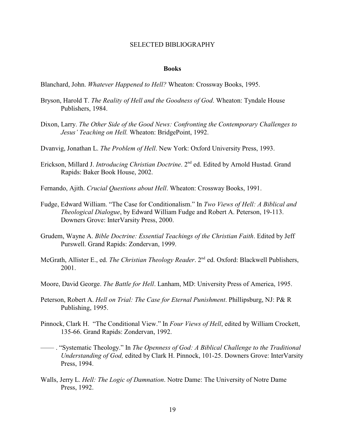#### SELECTED BIBLIOGRAPHY

#### **Books**

Blanchard, John. *Whatever Happened to Hell?* Wheaton: Crossway Books, 1995.

- Bryson, Harold T. *The Reality of Hell and the Goodness of God*. Wheaton: Tyndale House Publishers, 1984.
- Dixon, Larry. *The Other Side of the Good News: Confronting the Contemporary Challenges to Jesus' Teaching on Hell.* Wheaton: BridgePoint, 1992.
- Dvanvig, Jonathan L. *The Problem of Hell*. New York: Oxford University Press, 1993.
- Erickson, Millard J. *Introducing Christian Doctrine*. 2<sup>nd</sup> ed. Edited by Arnold Hustad. Grand Rapids: Baker Book House, 2002.
- Fernando, Ajith. *Crucial Questions about Hell*. Wheaton: Crossway Books, 1991.
- Fudge, Edward William. "The Case for Conditionalism." In *Two Views of Hell: A Biblical and Theological Dialogue*, by Edward William Fudge and Robert A. Peterson, 19-113. Downers Grove: InterVarsity Press, 2000.
- Grudem, Wayne A. *Bible Doctrine: Essential Teachings of the Christian Faith*. Edited by Jeff Purswell. Grand Rapids: Zondervan, 1999.
- McGrath, Allister E., ed. *The Christian Theology Reader*. 2<sup>nd</sup> ed. Oxford: Blackwell Publishers, 2001.
- Moore, David George. *The Battle for Hell*. Lanham, MD: University Press of America, 1995.
- Peterson, Robert A. *Hell on Trial: The Case for Eternal Punishment*. Phillipsburg, NJ: P& R Publishing, 1995.
- Pinnock, Clark H. "The Conditional View." In *Four Views of Hell*, edited by William Crockett, 135-66. Grand Rapids: Zondervan, 1992.
- –––– . "Systematic Theology." In *The Openness of God: A Biblical Challenge to the Traditional Understanding of God,* edited by Clark H. Pinnock, 101-25. Downers Grove: InterVarsity Press, 1994.
- Walls, Jerry L. *Hell: The Logic of Damnation*. Notre Dame: The University of Notre Dame Press, 1992.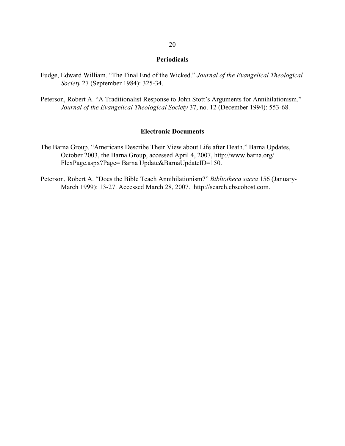#### **Periodicals**

- Fudge, Edward William. "The Final End of the Wicked." *Journal of the Evangelical Theological Society* 27 (September 1984): 325-34.
- Peterson, Robert A. "A Traditionalist Response to John Stott's Arguments for Annihilationism." *Journal of the Evangelical Theological Society* 37, no. 12 (December 1994): 553-68.

#### **Electronic Documents**

- The Barna Group. "Americans Describe Their View about Life after Death." Barna Updates, October 2003, the Barna Group, accessed April 4, 2007, http://www.barna.org/ FlexPage.aspx?Page= Barna Update&BarnaUpdateID=150.
- Peterson, Robert A. "Does the Bible Teach Annihilationism?" *Bibliotheca sacra* 156 (January-March 1999): 13-27. Accessed March 28, 2007. http://search.ebscohost.com.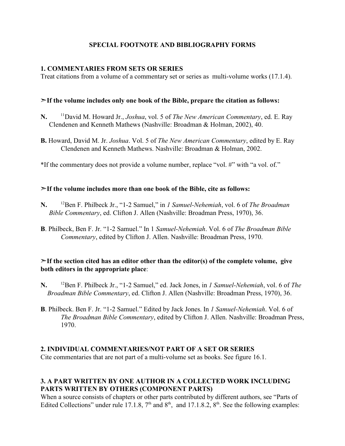## **SPECIAL FOOTNOTE AND BIBLIOGRAPHY FORMS**

## **1. COMMENTARIES FROM SETS OR SERIES**

Treat citations from a volume of a commentary set or series as multi-volume works (17.1.4).

## &**If the volume includes only one book of the Bible, prepare the citation as follows:**

- N. <sup>11</sup>David M. Howard Jr., *Joshua*, vol. 5 of *The New American Commentary*, ed. E. Ray Clendenen and Kenneth Mathews (Nashville: Broadman & Holman, 2002), 40.
- **B.** Howard, David M. Jr. *Joshua*. Vol. 5 of *The New American Commentary*, edited by E. Ray Clendenen and Kenneth Mathews. Nashville: Broadman & Holman, 2002.

\*If the commentary does not provide a volume number, replace "vol. #" with "a vol. of."

## &**If the volume includes more than one book of the Bible, cite as follows:**

- **N.** <sup>12</sup>Ben F. Philbeck Jr., "1-2 Samuel," in *1 Samuel-Nehemiah*, vol. 6 of *The Broadman Bible Commentary*, ed. Clifton J. Allen (Nashville: Broadman Press, 1970), 36.
- **B**. Philbeck, Ben F. Jr. "1-2 Samuel." In 1 *Samuel-Nehemiah*. Vol. 6 of *The Broadman Bible Commentary*, edited by Clifton J. Allen. Nashville: Broadman Press, 1970.

## $\geq$ If the section cited has an editor other than the editor(s) of the complete volume, give **both editors in the appropriate place**:

- **N.** <sup>12</sup>Ben F. Philbeck Jr., "1-2 Samuel," ed. Jack Jones, in *1 Samuel-Nehemiah*, vol. 6 of *The Broadman Bible Commentary*, ed. Clifton J. Allen (Nashville: Broadman Press, 1970), 36.
- **B**. Philbeck. Ben F. Jr. "1-2 Samuel." Edited by Jack Jones. In *1 Samuel-Nehemiah*. Vol. 6 of *The Broadman Bible Commentary*, edited by Clifton J. Allen. Nashville: Broadman Press, 1970.

## **2. INDIVIDUAL COMMENTARIES/NOT PART OF A SET OR SERIES**

Cite commentaries that are not part of a multi-volume set as books. See figure 16.1.

## **3. A PART WRITTEN BY ONE AUTHOR IN A COLLECTED WORK INCLUDING PARTS WRITTEN BY OTHERS (COMPONENT PARTS)**

When a source consists of chapters or other parts contributed by different authors, see "Parts of Edited Collections" under rule 17.1.8,  $7<sup>th</sup>$  and  $8<sup>th</sup>$ , and 17.1.8.2,  $8<sup>th</sup>$ . See the following examples: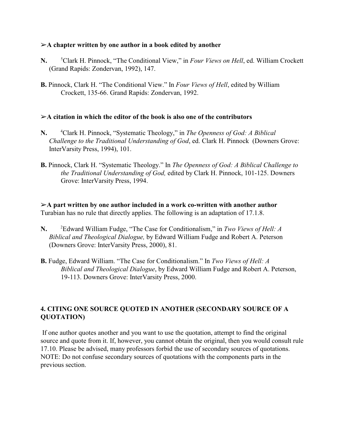## %**A chapter written by one author in a book edited by another**

- **N.** <sup>5</sup> Clark H. Pinnock, "The Conditional View," in *Four Views on Hell*, ed. William Crockett (Grand Rapids: Zondervan, 1992), 147.
- **B.** Pinnock, Clark H. "The Conditional View." In *Four Views of Hell*, edited by William Crockett, 135-66. Grand Rapids: Zondervan, 1992.

### $\geq$ A citation in which the editor of the book is also one of the contributors

- **N.** <sup>4</sup>Clark H. Pinnock, "Systematic Theology," in *The Openness of God: A Biblical Challenge to the Traditional Understanding of God*, ed. Clark H. Pinnock (Downers Grove: InterVarsity Press, 1994), 101.
- **B.** Pinnock, Clark H. "Systematic Theology." In *The Openness of God: A Biblical Challenge to the Traditional Understanding of God,* edited by Clark H. Pinnock, 101-125. Downers Grove: InterVarsity Press, 1994.

%**A part written by one author included in a work co-written with another author** Turabian has no rule that directly applies. The following is an adaptation of 17.1.8.

- **N.** <sup>2</sup>Edward William Fudge, "The Case for Conditionalism," in *Two Views of Hell: A Biblical and Theological Dialogue,* by Edward William Fudge and Robert A. Peterson (Downers Grove: InterVarsity Press, 2000), 81.
- **B.** Fudge, Edward William. "The Case for Conditionalism." In *Two Views of Hell: A Biblical and Theological Dialogue*, by Edward William Fudge and Robert A. Peterson, 19-113. Downers Grove: InterVarsity Press, 2000.

## **4. CITING ONE SOURCE QUOTED IN ANOTHER (SECONDARY SOURCE OF A QUOTATION)**

 If one author quotes another and you want to use the quotation, attempt to find the original source and quote from it. If, however, you cannot obtain the original, then you would consult rule 17.10. Please be advised, many professors forbid the use of secondary sources of quotations. NOTE: Do not confuse secondary sources of quotations with the components parts in the previous section.